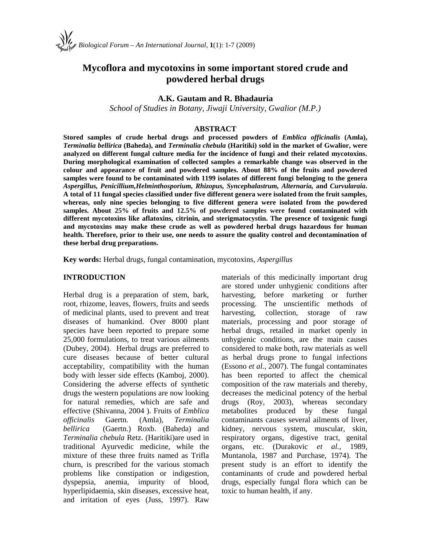# **Mycoflora and mycotoxins in some important stored crude and powdered herbal drugs**

## **A.K. Gautam and R. Bhadauria**

*School of Studies in Botany, Jiwaji University, Gwalior (M.P.)*

#### **ABSTRACT**

**Stored samples of crude herbal drugs and processed powders of** *Emblica officinalis* **(Amla),** *Terminalia bellirica* **(Baheda), and** *Terminalia chebula* **(Haritiki) sold in the market of Gwalior, were analyzed on different fungal culture media for the incidence of fungi and their related mycotoxins. During morphological examination of collected samples a remarkable change was observed in the colour and appearance of fruit and powdered samples. About 88% of the fruits and powdered samples were found to be contaminated with 1199 isolates of different fungi belonging to the genera** *Aspergillus, Penicillium,Helminthosporium, Rhizopus, Syncephalastrum, Alternaria,* **and** *Curvularaia***. A total of 11 fungal species classified under five different genera were isolated from the fruit samples, whereas, only nine species belonging to five different genera were isolated from the powdered samples. About 25% of fruits and 12.5% of powdered samples were found contaminated with different mycotoxins like aflatoxins, citrinin, and sterigmatocystin. The presence of toxigenic fungi and mycotoxins may make these crude as well as powdered herbal drugs hazardous for human health. Therefore, prior to their use, one needs to assure the quality control and decontamination of these herbal drug preparations.**

**Key words:** Herbal drugs, fungal contamination, mycotoxins, *Aspergillus*

#### **INTRODUCTION**

Herbal drug is a preparation of stem, bark, root, rhizome, leaves, flowers, fruits and seeds of medicinal plants, used to prevent and treat diseases of humankind. Over 8000 plant species have been reported to prepare some 25,000 formulations, to treat various ailments (Dubey, 2004). Herbal drugs are preferred to cure diseases because of better cultural acceptability, compatibility with the human body with lesser side effects (Kamboj, 2000). Considering the adverse effects of synthetic drugs the western populations are now looking for natural remedies, which are safe and effective (Shivanna, 2004 ). Fruits of *Emblica officinalis* Gaertn. (Amla), *Terminalia bellirica* (Gaertn.) Roxb. (Baheda) and *Terminalia chebula* Retz. (Haritiki)are used in traditional Ayurvedic medicine, while the mixture of these three fruits named as Trifla churn, is prescribed for the various stomach problems like constipation or indigestion, dyspepsia, anemia, impurity of blood, hyperlipidaemia, skin diseases, excessive heat, and irritation of eyes (Juss, 1997). Raw

materials of this medicinally important drug are stored under unhygienic conditions after before marketing or further The unscientific methods of collection, storage of raw materials, processing and poor storage of herbal drugs, retailed in market openly in unhygienic conditions, are the main causes considered to make both, raw materials as well as herbal drugs prone to fungal infections (Essono *et al.*, 2007). The fungal contaminates has been reported to affect the chemical composition of the raw materials and thereby, decreases the medicinal potency of the herbal drugs (Roy, 2003), whereas secondary metabolites produced by these fungal contaminants causes several ailments of liver, kidney, nervous system, muscular, skin, respiratory organs, digestive tract, genital organs, etc. (Durakovic *et al.*, 1989, Muntanola, 1987 and Purchase, 1974). The present study is an effort to identify the contaminants of crude and powdered herbal drugs, especially fungal flora which can be toxic to human health, if any.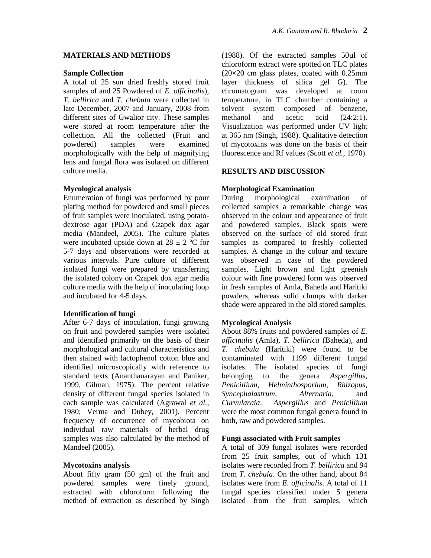#### **MATERIALS AND METHODS**

#### **Sample Collection**

A total of 25 sun dried freshly stored fruit samples of and 25 Powdered of *E. officinalis*), *T. bellirica* and *T. chebula* were collected in late December, 2007 and January, 2008 from different sites of Gwalior city. These samples methanol were stored at room temperature after the collection. All the collected (Fruit and powdered) samples were examined morphologically with the help of magnifying lens and fungal flora was isolated on different culture media.

## **Mycological analysis**

Enumeration of fungi was performed by pour plating method for powdered and small pieces of fruit samples were inoculated, using potato dextrose agar (PDA) and Czapek dox agar media (Mandeel, 2005). The culture plates were incubated upside down at  $28 \pm 2$  °C for 5-7 days and observations were recorded at various intervals. Pure culture of different isolated fungi were prepared by transferring the isolated colony on Czapek dox agar media culture media with the help of inoculating loop and incubated for 4-5 days.

## **Identification of fungi**

After 6-7 days of inoculation, fungi growing on fruit and powdered samples were isolated and identified primarily on the basis of their morphological and cultural characteristics and then stained with lactophenol cotton blue and identified microscopically with reference to standard texts (Ananthanarayan and Paniker, 1999, Gilman, 1975). The percent relative density of different fungal species isolated in each sample was calculated (Agrawal et al., Curvularaia. 1980; Verma and Dubey, 2001). Percent frequency of occurrence of mycobiota on individual raw materials of herbal drug samples was also calculated by the method of Mandeel (2005).

## **Mycotoxins analysis**

About fifty gram (50 gm) of the fruit and powdered samples were finely ground, extracted with chloroform following the method of extraction as described by Singh (1988). Of the extracted samples 50µl of chloroform extract were spotted on TLC plates (20×20 cm glass plates, coated with 0.25mm layer thickness of silica gel G). The chromatogram was developed at room temperature, in TLC chamber containing a solvent system composed of benzene, and acetic acid  $(24:2:1)$ . Visualization was performed under UV light at 365 nm (Singh, 1988). Qualitative detection of mycotoxins was done on the basis of their fluorescence and Rf values (Scott *et al.*, 1970).

## **RESULTS AND DISCUSSION**

## **Morphological Examination**

morphological examination of collected samples a remarkable change was observed in the colour and appearance of fruit and powdered samples. Black spots were observed on the surface of old stored fruit samples as compared to freshly collected samples. A change in the colour and texture was observed in case of the powdered samples. Light brown and light greenish colour with fine powdered form was observed in fresh samples of Amla, Baheda and Haritiki powders, whereas solid clumps with darker shade were appeared in the old stored samples.

## **Mycological Analysis**

About 88% fruits and powdered samples of *E. officinalis* (Amla), *T. bellirica* (Baheda), and *T. chebula* (Haritiki) were found to be contaminated with 1199 different fungal isolates. The isolated species of fungi to the genera *Aspergillus*, *Penicillium, Helminthosporium, Rhizopus, Syncephalastrum, Alternaria,* and *Curvularaia*. *Aspergillus* and *Penicillium* were the most common fungal genera found in both, raw and powdered samples.

#### **Fungi associated with Fruit samples**

A total of 309 fungal isolates were recorded from 25 fruit samples, out of which 131 isolates were recorded from *T. bellirica* and 94 from *T. chebula*. On the other hand, about 84 isolates were from *E. officinalis*. A total of 11 fungal species classified under 5 genera isolated from the fruit samples, which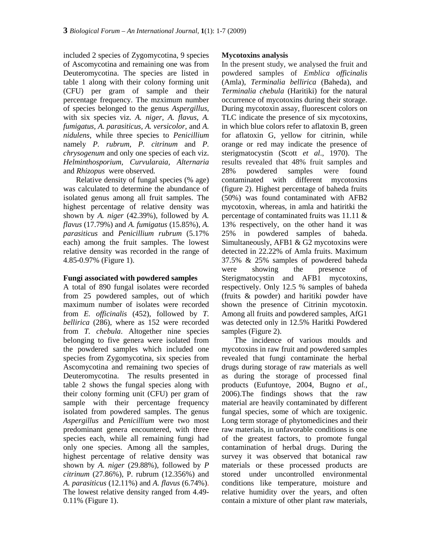included 2 species of Zygomycotina, 9 species of Ascomycotina and remaining one was from Deuteromycotina. The species are listed in table 1 along with their colony forming unit (CFU) per gram of sample and their percentage frequency. The mzximum number of species belonged to the genus *Aspergillus,* with six species viz. *A. niger, A. flavus, A. fumigatus, A. parasiticus, A. versicolor,* and *A. nidulens,* while three species to *Penicillium* namely *P. rubrum, P. citrinum* and *P. chrysogenum* and only one species of each viz. *Helminthosporium, Curvularaia, Alternaria* and *Rhizopus* were observed*.*

Relative density of fungal species (% age) contaminated with was calculated to determine the abundance of isolated genus among all fruit samples. The highest percentage of relative density was shown by *A. niger* (42.39%), followed by *A. flavus* (17.79%) and *A. fumigatus* (15.85%), *A. parasiticus* and *Penicillium rubrum* (5.17% each) among the fruit samples. The lowest relative density was recorded in the range of 4.85-0.97% (Figure 1).

#### **Fungi associated with powdered samples**

A total of 890 fungal isolates were recorded from 25 powdered samples, out of which maximum number of isolates were recorded from *E. officinalis* (452), followed by *T. bellirica* (286), where as 152 were recorded from *T. chebula*. Altogether nine species belonging to five genera were isolated from the powdered samples which included one species from Zygomycotina, six species from Ascomycotina and remaining two species of Deuteromycotina. The results presented in table 2 shows the fungal species along with their colony forming unit (CFU) per gram of sample with their percentage frequency isolated from powdered samples. The genus *Aspergillus* and *Penicillium* were two most predominant genera encountered, with three species each, while all remaining fungi had only one species. Among all the samples, highest percentage of relative density was shown by *A. niger* (29.88%), followed by *P citrinum* (27.86%), P. rubrum (12.356%) and *A. parasiticus* (12.11%) and *A. flavus* (6.74%). The lowest relative density ranged from 4.49- 0.11% (Figure 1).

#### **Mycotoxins analysis**

In the present study, we analysed the fruit and powdered samples of *Emblica officinalis* (Amla), *Terminalia bellirica* (Baheda), and *Terminalia chebula* (Haritiki) for the natural occurrence of mycotoxins during their storage. During mycotoxin assay, fluorescent colors on TLC indicate the presence of six mycotoxins, in which blue colors refer to aflatoxin B, green for aflatoxin G, yellow for citrinin, while orange or red may indicate the presence of sterigmatocystin (Scott *et al*., 1970). The results revealed that 48% fruit samples and 28% powdered samples were found different mycotoxins (figure 2). Highest percentage of baheda fruits (50%) was found contaminated with AFB2 mycotoxin, whereas, in amla and hatiritki the percentage of contaminated fruits was 11.11 & 13% respectively, on the other hand it was 25% in powdered samples of baheda. Simultaneously, AFB1 & G2 mycotoxins were detected in 22.22% of Amla fruits. Maximum 37.5% & 25% samples of powdered baheda were showing the presence of Sterigmatocystin and AFB1 mycotoxins, respectively. Only 12.5 % samples of baheda (fruits & powder) and haritiki powder have shown the presence of Citrinin mycotoxin. Among all fruits and powdered samples, AfG1 was detected only in 12.5% Haritki Powdered samples (Figure 2).

The incidence of various moulds and mycotoxins in raw fruit and powdered samples revealed that fungi contaminate the herbal drugs during storage of raw materials as well as during the storage of processed final products (Eufuntoye, 2004, Bugno *et al.*, 2006).The findings shows that the raw material are heavily contaminated by different fungal species, some of which are toxigenic. Long term storage of phytomedicines and their raw materials, in unfavorable conditions is one of the greatest factors, to promote fungal contamination of herbal drugs. During the survey it was observed that botanical raw materials or these processed products are stored under uncontrolled environmental conditions like temperature, moisture and relative humidity over the years, and often contain a mixture of other plant raw materials,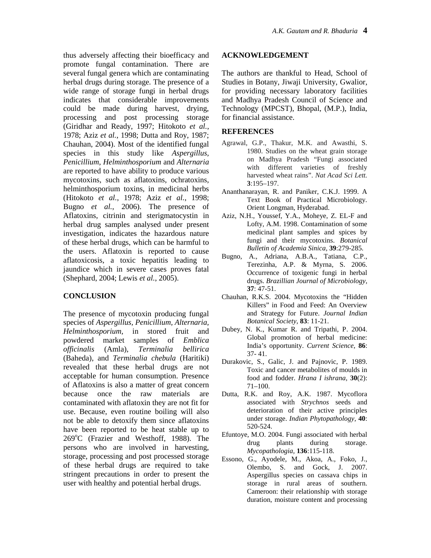thus adversely affecting their bioefficacy and promote fungal contamination. There are several fungal genera which are contaminating herbal drugs during storage. The presence of a wide range of storage fungi in herbal drugs indicates that considerable improvements could be made during harvest, drying, processing and post processing storage (Giridhar and Ready, 1997; Hitokoto *et al.*, 1978; Aziz *et al.*, 1998; Dutta and Roy, 1987; Chauhan, 2004). Most of the identified fungal species in this study like *Aspergillus, Penicillium*, *Helminthosporium* and *Alternaria* are reported to have ability to produce various mycotoxins, such as aflatoxins, ochratoxins, helminthosporium toxins, in medicinal herbs (Hitokoto *et al.*, 1978; Aziz *et al.*, 1998; Bugno *et al.*, 2006). The presence of Aflatoxins, citrinin and sterigmatocystin in herbal drug samples analysed under present investigation, indicates the hazardous nature of these herbal drugs, which can be harmful to the users. Aflatoxin is reported to cause aflatoxicosis, a toxic hepatitis leading to jaundice which in severe cases proves fatal (Shephard, 2004; Lewis *et al.*, 2005).

## **CONCLUSION**

The presence of mycotoxin producing fungal species of *Aspergillus, Penicillium, Alternaria, Helminthosporium,* in stored fruit and powdered market samples of *Emblica officinalis* (Amla), *Terminalia bellirica* (Baheda), and *Terminalia chebula* (Haritiki) revealed that these herbal drugs are not acceptable for human consumption. Presence of Aflatoxins is also a matter of great concern because once the raw materials are contaminated with aflatoxin they are not fit for use. Because, even routine boiling will also not be able to detoxify them since aflatoxins have been reported to be heat stable up to 269°C (Frazier and Westhoff, 1988). The persons who are involved in harvesting, storage, processing and post processed storage of these herbal drugs are required to take stringent precautions in order to present the user with healthy and potential herbal drugs.

#### **ACKNOWLEDGEMENT**

The authors are thankful to Head, School of Studies in Botany, Jiwaji University, Gwalior, for providing necessary laboratory facilities and Madhya Pradesh Council of Science and Technology (MPCST), Bhopal, (M.P.), India, for financial assistance.

## **REFERENCES**

- Agrawal, G.P., Thakur, M.K. and Awasthi, S. 1980. Studies on the wheat grain storage on Madhya Pradesh "Fungi associated with different varieties of freshly harvested wheat rains". *Nat Acad Sci Lett.* **3**:195–197.
- Ananthanarayan, R. and Paniker, C.K.J. 1999. A Text Book of Practical Microbiology. Orient Longman, Hyderabad.
- Aziz, N.H., Youssef, Y.A., Moheye, Z. EL-F and Lofty, A.M. 1998. Contamination of some medicinal plant samples and spices by fungi and their mycotoxins. *Botanical Bulletin of Academia Sinica,* **39**:279-285.
- Bugno, A., Adriana, A.B.A., Tatiana, C.P., Terezinha, A.P. & Myrna, S. 2006. Occurrence of toxigenic fungi in herbal drugs. *Brazillian Journal of Microbiology*, **37**: 47-51.
- Chauhan, R.K.S. 2004. Mycotoxins the "Hidden Killers" in Food and Feed: An Overview and Strategy for Future. *Journal Indian Botanical Society*, **83**: 11-21.
- Dubey, N. K., Kumar R. and Tripathi, P. 2004. Global promotion of herbal medicine: India's opportunity. *Current Science,* **86**: 37- 41.
- Durakovic, S., Galic, J. and Pajnovic, P. 1989. Toxic and cancer metabolites of moulds in food and fodder. *Hrana I ishrana,* **30**(2): 71–100.
- R.K. and Roy, A.K. 1987. Mycoflora associated with *Strychnos* seeds and deterioration of their active principles under storage. *Indian Phytopathology,* **40**: 520-524.
- Efuntoye, M.O. 2004. Fungi associated with herbal drug plants during storage. *Mycopathologia,* **136**:115-118.
- Essono, G., Ayodele, M., Akoa, A., Foko, J., Olembo, S. and Gock, J. 2007. Aspergillus species on cassava chips in storage in rural areas of southern. Cameroon: their relationship with storage duration, moisture content and processing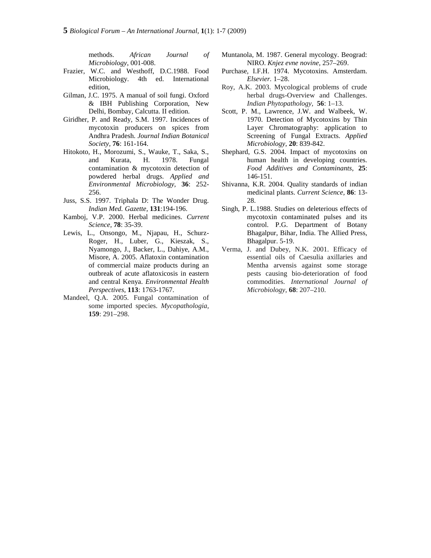methods. *African Journal of Microbiology*, 001-008.

- Frazier, W.C. and Westhoff, D.C.1988. Food Microbiology. 4th ed. International edition,
- Gilman, J.C. 1975. A manual of soil fungi. Oxford & IBH Publishing Corporation, New Delhi, Bombay, Calcutta. II edition.
- Giridher, P. and Ready, S.M. 1997. Incidences of mycotoxin producers on spices from Andhra Pradesh. *Journal Indian Botanical Society,* **76**: 161-164.
- Hitokoto, H., Morozumi, S., Wauke, T., Saka, S., and Kurata, H. 1978. Fungal contamination & mycotoxin detection of powdered herbal drugs. *Applied and Environmental Microbiology,* **36**: 252- 256.
- Juss, S.S. 1997. Triphala D: The Wonder Drug. *Indian Med. Gazette,* **131**:194-196.
- Kamboj, V.P. 2000. Herbal medicines. *Current Science,* **78**: 35-39.
- Lewis, L., Onsongo, M., Njapau, H., Schurz- Roger, H., Luber, G., Kieszak, S., Nyamongo, J., Backer, L., Dahiye, A.M., Misore, A. 2005. Aflatoxin contamination of commercial maize products during an outbreak of acute aflatoxicosis in eastern and central Kenya. *Environmental Health Perspectives,* **113**: 1763-1767.
- Mandeel, Q.A. 2005. Fungal contamination of some imported species. *Mycopathologia,* **159**: 291–298.
- Muntanola, M. 1987. General mycology. Beograd: NIRO. *Knjez evne novine,* 257–269.
- Purchase, I.F.H. 1974. Mycotoxins. Amsterdam. *Elsevier.* 1–28.
- Roy, A.K. 2003. Mycological problems of crude herbal drugs-Overview and Challenges. *Indian Phytopathology,* **56**: 1–13.
- Scott, P. M., Lawrence, J.W. and Walbeek, W. 1970. Detection of Mycotoxins by Thin Layer Chromatography: application to Screening of Fungal Extracts. *Applied Microbiology,* **20**: 839-842.
- Shephard, G.S. 2004. Impact of mycotoxins on human health in developing countries. *Food Additives and Contaminants*, **25**: 146-151.
- Shivanna, K.R. 2004. Quality standards of indian medicinal plants. *Current Science,* **86**: 13- 28.
- Singh, P. L.1988. Studies on deleterious effects of mycotoxin contaminated pulses and its control. P.G. Department of Botany Bhagalpur, Bihar, India. The Allied Press, Bhagalpur. 5-19.
- Verma, J. and Dubey, N.K. 2001. Efficacy of essential oils of Caesulia axillaries and Mentha arvensis against some storage pests causing bio-deterioration of food commodities. *International Journal of Microbiology,* **68**: 207–210.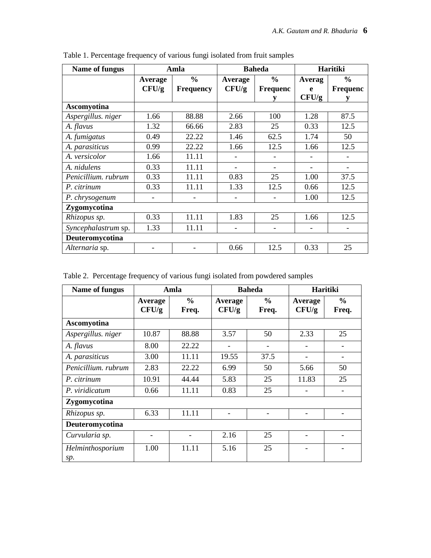| Name of fungus      | Amla    |                  | <b>Baheda</b> |                 | <b>Haritiki</b> |                 |
|---------------------|---------|------------------|---------------|-----------------|-----------------|-----------------|
|                     | Average | $\frac{0}{0}$    | Average       | $\frac{0}{0}$   | Averag          | $\frac{0}{0}$   |
|                     | CFU/g   | <b>Frequency</b> | CFU/g         | <b>Frequenc</b> | e               | <b>Frequenc</b> |
|                     |         |                  |               |                 | CFU/g           |                 |
| Ascomyotina         |         |                  |               |                 |                 |                 |
| Aspergillus. niger  | 1.66    | 88.88            | 2.66          | 100             | 1.28            | 87.5            |
| A. flavus           | 1.32    | 66.66            | 2.83          | 25              | 0.33            | 12.5            |
| A. fumigatus        | 0.49    | 22.22            | 1.46          | 62.5            | 1.74            | 50              |
| A. parasiticus      | 0.99    | 22.22            | 1.66          | 12.5            | 1.66            | 12.5            |
| A. versicolor       | 1.66    | 11.11            |               |                 |                 |                 |
| A. nidulens         | 0.33    | 11.11            |               |                 |                 |                 |
| Penicillium. rubrum | 0.33    | 11.11            | 0.83          | 25              | 1.00            | 37.5            |
| P. citrinum         | 0.33    | 11.11            | 1.33          | 12.5            | 0.66            | 12.5            |
| P. chrysogenum      |         |                  |               |                 | 1.00            | 12.5            |
| Zygomycotina        |         |                  |               |                 |                 |                 |
| Rhizopus sp.        | 0.33    | 11.11            | 1.83          | 25              | 1.66            | 12.5            |
| Syncephalastrum sp. | 1.33    | 11.11            |               | -               |                 |                 |
| Deuteromycotina     |         |                  |               |                 |                 |                 |
| Alternaria sp.      |         |                  | 0.66          | 12.5            | 0.33            | 25              |

Table 1. Percentage frequency of various fungi isolated from fruit samples

Table 2. Percentage frequency of various fungi isolated from powdered samples

| Name of fungus          | Amla             |                        | <b>Baheda</b>            |                          | Haritiki                 |                              |
|-------------------------|------------------|------------------------|--------------------------|--------------------------|--------------------------|------------------------------|
|                         | Average<br>CFU/g | $\frac{6}{6}$<br>Freq. | Average<br>CFU/g         | $\frac{0}{0}$<br>Freq.   | Average<br>CFU/g         | $\frac{6}{6}$<br>Freq.       |
| Ascomyotina             |                  |                        |                          |                          |                          |                              |
| Aspergillus. niger      | 10.87            | 88.88                  | 3.57                     | 50                       | 2.33                     | 25                           |
| A. flavus               | 8.00             | 22.22                  | $\overline{\phantom{a}}$ | $\overline{\phantom{a}}$ |                          |                              |
| A. parasiticus          | 3.00             | 11.11                  | 19.55                    | 37.5                     |                          |                              |
| Penicillium. rubrum     | 2.83             | 22.22                  | 6.99                     | 50                       | 5.66                     | 50                           |
| P. citrinum             | 10.91            | 44.44                  | 5.83                     | 25                       | 11.83                    | 25                           |
| P. viridicatum          | 0.66             | 11.11                  | 0.83                     | 25                       |                          |                              |
| Zygomycotina            |                  |                        |                          |                          |                          |                              |
| Rhizopus sp.            | 6.33             | 11.11                  | ۰                        |                          | $\overline{\phantom{a}}$ | $\qquad \qquad \blacksquare$ |
| Deuteromycotina         |                  |                        |                          |                          |                          |                              |
| Curvularia sp.          |                  |                        | 2.16                     | 25                       |                          |                              |
| Helminthosporium<br>sp. | 1.00             | 11.11                  | 5.16                     | 25                       |                          |                              |